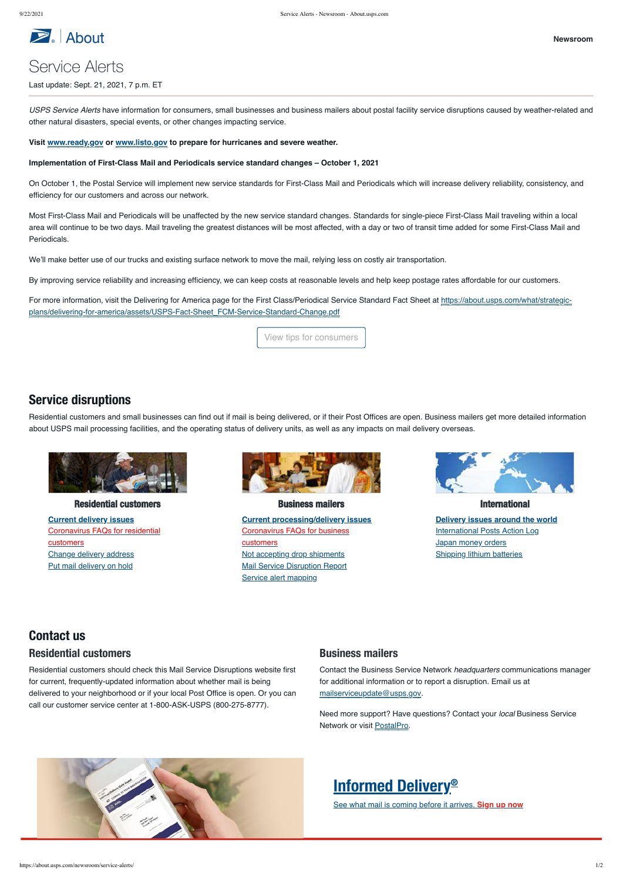

# Service Alerts

Last update: Sept. 21, 2021, 7 p.m. ET

*USPS Service Alerts* have information for consumers, small businesses and business mailers about postal facility service disruptions caused by weather-related and other natural disasters, special events, or other changes impacting service.

#### **Visit [www.ready.gov](https://www.ready.gov/) or [www.listo.gov](https://www.listo.gov/es) to prepare for hurricanes and severe weather.**

**Implementation of First-Class Mail and Periodicals service standard changes – October 1, 2021**

On October 1, the Postal Service will implement new service standards for First-Class Mail and Periodicals which will increase delivery reliability, consistency, and efficiency for our customers and across our network.

[For more information, visit the Delivering for America page for the First Class/Periodical Service Standard Fact Sheet at https://about.usps.com/what/strategic](https://about.usps.com/what/strategic-plans/delivering-for-america/assets/USPS-Fact-Sheet_FCM-Service-Standard-Change.pdf)plans/delivering-for-america/assets/USPS-Fact-Sheet\_FCM-Service-Standard-Change.pdf

Most First-Class Mail and Periodicals will be unaffected by the new service standard changes. Standards for single-piece First-Class Mail traveling within a local area will continue to be two days. Mail traveling the greatest distances will be most affected, with a day or two of transit time added for some First-Class Mail and Periodicals.

We'll make better use of our trucks and existing surface network to move the mail, relying less on costly air transportation.

By improving service reliability and increasing efficiency, we can keep costs at reasonable levels and help keep postage rates affordable for our customers.

Need more support? Have questions? Contact your *local* Business Service Network or visit [PostalPro](https://postalpro.usps.com/).



View tips for consumers

**[Current delivery issues](https://about.usps.com/newsroom/service-alerts/residential/welcome.htm)** [Coronavirus FAQs for residential](https://faq.usps.com/s/article/USPS-Coronavirus-Updates-for-Residential-Customers) customers [Change delivery address](https://moversguide.usps.com/) [Put mail delivery on hold](https://holdmail.usps.com/holdmail/)



**[Current processing/delivery issues](https://about.usps.com/newsroom/service-alerts/business/welcome.htm)** [Coronavirus FAQs for business](https://faq.usps.com/s/article/USPS-Coronavirus-Updates-for-Business-Customers) customers [Not accepting drop shipments](https://about.usps.com/newsroom/service-alerts/no-drop-shipments.xls) **[Mail Service Disruption Report](https://about.usps.com/newsroom/service-alerts/msureport.xls)** [Service alert mapping](https://uspstools.maps.arcgis.com/apps/webappviewer/index.html?id=1fc1c26bb31246b39087606c65b83020)



**[Delivery issues around the world](https://about.usps.com/newsroom/service-alerts/international/welcome.htm) [International Posts Action Log](https://about.usps.com/newsroom/service-alerts/international-posts-action-log.xlsx) [Japan money orders](https://about.usps.com/newsroom/service-alerts/international/japan-money-orders.htm)** [Shipping lithium batteries](https://about.usps.com/newsroom/service-alerts/lithium-batteries.htm)

## Service disruptions

Residential customers and small businesses can find out if mail is being delivered, or if their Post Offices are open. Business mailers get more detailed information about USPS mail processing facilities, and the operating status of delivery units, as well as any impacts on mail delivery overseas.



#### Residential customers and the second customers in the Business mailers and the second customers international

Residential customers should check this Mail Service Disruptions website first for current, frequently-updated information about whether mail is being delivered to your neighborhood or if your local Post Office is open. Or you can call our customer service center at 1-800-ASK-USPS (800-275-8777).

## Contact us Residential customers

Contact the Business Service Network *headquarters* communications manager for additional information or to report a disruption. Email us at [mailserviceupdate@usps.gov.](mailto:mailserviceupdate@usps.gov?subject=Service%20Updates)

### Business mailers

# [Informed Delivery](https://informeddelivery.usps.com/) ®

See what mail is coming before it arrives. **Sign up now**